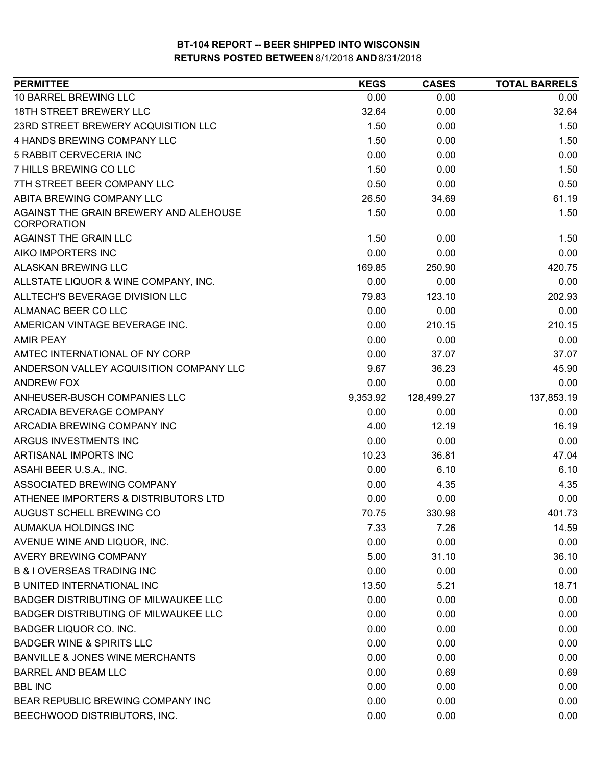| <b>PERMITTEE</b>                                             | <b>KEGS</b> | <b>CASES</b> | <b>TOTAL BARRELS</b> |
|--------------------------------------------------------------|-------------|--------------|----------------------|
| <b>10 BARREL BREWING LLC</b>                                 | 0.00        | 0.00         | 0.00                 |
| 18TH STREET BREWERY LLC                                      | 32.64       | 0.00         | 32.64                |
| 23RD STREET BREWERY ACQUISITION LLC                          | 1.50        | 0.00         | 1.50                 |
| 4 HANDS BREWING COMPANY LLC                                  | 1.50        | 0.00         | 1.50                 |
| 5 RABBIT CERVECERIA INC                                      | 0.00        | 0.00         | 0.00                 |
| 7 HILLS BREWING CO LLC                                       | 1.50        | 0.00         | 1.50                 |
| 7TH STREET BEER COMPANY LLC                                  | 0.50        | 0.00         | 0.50                 |
| ABITA BREWING COMPANY LLC                                    | 26.50       | 34.69        | 61.19                |
| AGAINST THE GRAIN BREWERY AND ALEHOUSE<br><b>CORPORATION</b> | 1.50        | 0.00         | 1.50                 |
| <b>AGAINST THE GRAIN LLC</b>                                 | 1.50        | 0.00         | 1.50                 |
| AIKO IMPORTERS INC                                           | 0.00        | 0.00         | 0.00                 |
| ALASKAN BREWING LLC                                          | 169.85      | 250.90       | 420.75               |
| ALLSTATE LIQUOR & WINE COMPANY, INC.                         | 0.00        | 0.00         | 0.00                 |
| ALLTECH'S BEVERAGE DIVISION LLC                              | 79.83       | 123.10       | 202.93               |
| ALMANAC BEER CO LLC                                          | 0.00        | 0.00         | 0.00                 |
| AMERICAN VINTAGE BEVERAGE INC.                               | 0.00        | 210.15       | 210.15               |
| <b>AMIR PEAY</b>                                             | 0.00        | 0.00         | 0.00                 |
| AMTEC INTERNATIONAL OF NY CORP                               | 0.00        | 37.07        | 37.07                |
| ANDERSON VALLEY ACQUISITION COMPANY LLC                      | 9.67        | 36.23        | 45.90                |
| <b>ANDREW FOX</b>                                            | 0.00        | 0.00         | 0.00                 |
| ANHEUSER-BUSCH COMPANIES LLC                                 | 9,353.92    | 128,499.27   | 137,853.19           |
| ARCADIA BEVERAGE COMPANY                                     | 0.00        | 0.00         | 0.00                 |
| ARCADIA BREWING COMPANY INC                                  | 4.00        | 12.19        | 16.19                |
| ARGUS INVESTMENTS INC                                        | 0.00        | 0.00         | 0.00                 |
| ARTISANAL IMPORTS INC                                        | 10.23       | 36.81        | 47.04                |
| ASAHI BEER U.S.A., INC.                                      | 0.00        | 6.10         | 6.10                 |
| ASSOCIATED BREWING COMPANY                                   | 0.00        | 4.35         | 4.35                 |
| ATHENEE IMPORTERS & DISTRIBUTORS LTD                         | 0.00        | 0.00         | 0.00                 |
| AUGUST SCHELL BREWING CO                                     | 70.75       | 330.98       | 401.73               |
| AUMAKUA HOLDINGS INC                                         | 7.33        | 7.26         | 14.59                |
| AVENUE WINE AND LIQUOR, INC.                                 | 0.00        | 0.00         | 0.00                 |
| AVERY BREWING COMPANY                                        | 5.00        | 31.10        | 36.10                |
| <b>B &amp; I OVERSEAS TRADING INC</b>                        | 0.00        | 0.00         | 0.00                 |
| <b>B UNITED INTERNATIONAL INC</b>                            | 13.50       | 5.21         | 18.71                |
| <b>BADGER DISTRIBUTING OF MILWAUKEE LLC</b>                  | 0.00        | 0.00         | 0.00                 |
| <b>BADGER DISTRIBUTING OF MILWAUKEE LLC</b>                  | 0.00        | 0.00         | 0.00                 |
| BADGER LIQUOR CO. INC.                                       | 0.00        | 0.00         | 0.00                 |
| <b>BADGER WINE &amp; SPIRITS LLC</b>                         | 0.00        | 0.00         | 0.00                 |
| <b>BANVILLE &amp; JONES WINE MERCHANTS</b>                   | 0.00        | 0.00         | 0.00                 |
| BARREL AND BEAM LLC                                          | 0.00        | 0.69         | 0.69                 |
| <b>BBL INC</b>                                               | 0.00        | 0.00         | 0.00                 |
| BEAR REPUBLIC BREWING COMPANY INC                            | 0.00        | 0.00         | 0.00                 |
| BEECHWOOD DISTRIBUTORS, INC.                                 | 0.00        | 0.00         | 0.00                 |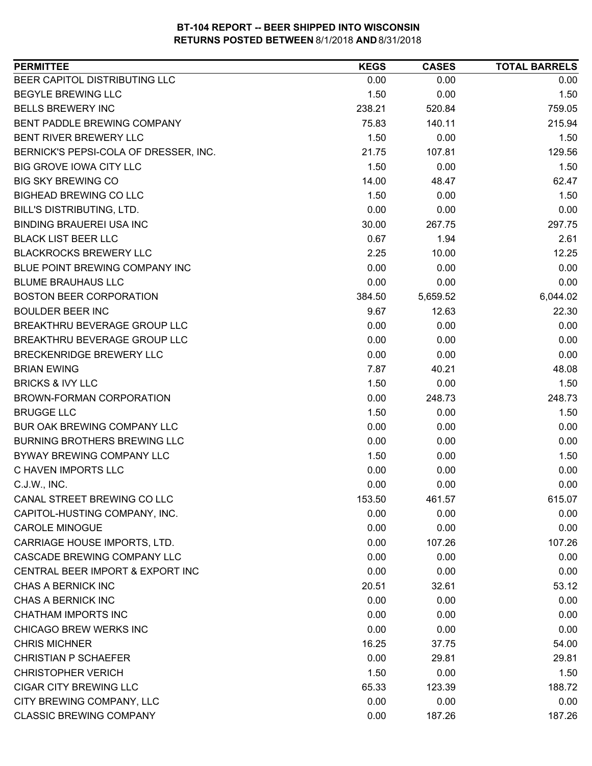| <b>PERMITTEE</b>                      | <b>KEGS</b> | <b>CASES</b> | <b>TOTAL BARRELS</b> |
|---------------------------------------|-------------|--------------|----------------------|
| BEER CAPITOL DISTRIBUTING LLC         | 0.00        | 0.00         | 0.00                 |
| <b>BEGYLE BREWING LLC</b>             | 1.50        | 0.00         | 1.50                 |
| <b>BELLS BREWERY INC</b>              | 238.21      | 520.84       | 759.05               |
| BENT PADDLE BREWING COMPANY           | 75.83       | 140.11       | 215.94               |
| BENT RIVER BREWERY LLC                | 1.50        | 0.00         | 1.50                 |
| BERNICK'S PEPSI-COLA OF DRESSER, INC. | 21.75       | 107.81       | 129.56               |
| <b>BIG GROVE IOWA CITY LLC</b>        | 1.50        | 0.00         | 1.50                 |
| <b>BIG SKY BREWING CO</b>             | 14.00       | 48.47        | 62.47                |
| <b>BIGHEAD BREWING CO LLC</b>         | 1.50        | 0.00         | 1.50                 |
| BILL'S DISTRIBUTING, LTD.             | 0.00        | 0.00         | 0.00                 |
| <b>BINDING BRAUEREI USA INC</b>       | 30.00       | 267.75       | 297.75               |
| <b>BLACK LIST BEER LLC</b>            | 0.67        | 1.94         | 2.61                 |
| <b>BLACKROCKS BREWERY LLC</b>         | 2.25        | 10.00        | 12.25                |
| BLUE POINT BREWING COMPANY INC        | 0.00        | 0.00         | 0.00                 |
| <b>BLUME BRAUHAUS LLC</b>             | 0.00        | 0.00         | 0.00                 |
| <b>BOSTON BEER CORPORATION</b>        | 384.50      | 5,659.52     | 6,044.02             |
| <b>BOULDER BEER INC</b>               | 9.67        | 12.63        | 22.30                |
| BREAKTHRU BEVERAGE GROUP LLC          | 0.00        | 0.00         | 0.00                 |
| BREAKTHRU BEVERAGE GROUP LLC          | 0.00        | 0.00         | 0.00                 |
| BRECKENRIDGE BREWERY LLC              | 0.00        | 0.00         | 0.00                 |
| <b>BRIAN EWING</b>                    | 7.87        | 40.21        | 48.08                |
| <b>BRICKS &amp; IVY LLC</b>           | 1.50        | 0.00         | 1.50                 |
| BROWN-FORMAN CORPORATION              | 0.00        | 248.73       | 248.73               |
| <b>BRUGGE LLC</b>                     | 1.50        | 0.00         | 1.50                 |
| BUR OAK BREWING COMPANY LLC           | 0.00        | 0.00         | 0.00                 |
| <b>BURNING BROTHERS BREWING LLC</b>   | 0.00        | 0.00         | 0.00                 |
| BYWAY BREWING COMPANY LLC             | 1.50        | 0.00         | 1.50                 |
| C HAVEN IMPORTS LLC                   | 0.00        | 0.00         | 0.00                 |
| C.J.W., INC.                          | 0.00        | 0.00         | 0.00                 |
| CANAL STREET BREWING CO LLC           | 153.50      | 461.57       | 615.07               |
| CAPITOL-HUSTING COMPANY, INC.         | 0.00        | 0.00         | 0.00                 |
| <b>CAROLE MINOGUE</b>                 | 0.00        | 0.00         | 0.00                 |
| CARRIAGE HOUSE IMPORTS, LTD.          | 0.00        | 107.26       | 107.26               |
| CASCADE BREWING COMPANY LLC           | 0.00        | 0.00         | 0.00                 |
| CENTRAL BEER IMPORT & EXPORT INC      | 0.00        | 0.00         | 0.00                 |
| CHAS A BERNICK INC                    | 20.51       | 32.61        | 53.12                |
| CHAS A BERNICK INC                    | 0.00        | 0.00         | 0.00                 |
| CHATHAM IMPORTS INC                   | 0.00        | 0.00         | 0.00                 |
| CHICAGO BREW WERKS INC                | 0.00        | 0.00         | 0.00                 |
| <b>CHRIS MICHNER</b>                  | 16.25       | 37.75        | 54.00                |
| <b>CHRISTIAN P SCHAEFER</b>           | 0.00        | 29.81        | 29.81                |
| <b>CHRISTOPHER VERICH</b>             | 1.50        | 0.00         | 1.50                 |
| CIGAR CITY BREWING LLC                | 65.33       | 123.39       | 188.72               |
| CITY BREWING COMPANY, LLC             | 0.00        | 0.00         | 0.00                 |
| <b>CLASSIC BREWING COMPANY</b>        | 0.00        | 187.26       | 187.26               |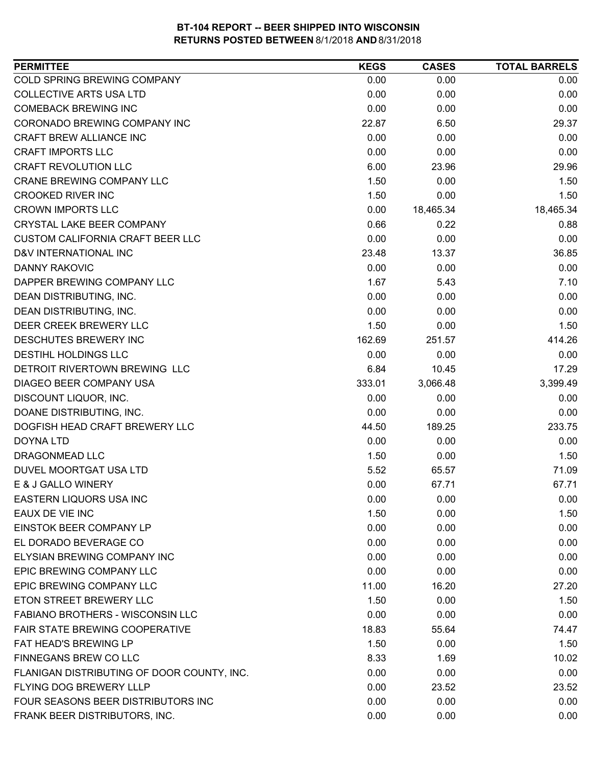| COLD SPRING BREWING COMPANY<br>0.00<br>0.00<br>0.00<br><b>COLLECTIVE ARTS USA LTD</b><br>0.00<br>0.00<br>0.00<br><b>COMEBACK BREWING INC</b><br>0.00<br>0.00<br>0.00<br>CORONADO BREWING COMPANY INC<br>22.87<br>6.50<br>29.37<br>0.00<br>CRAFT BREW ALLIANCE INC<br>0.00<br>0.00<br><b>CRAFT IMPORTS LLC</b><br>0.00<br>0.00<br>0.00<br><b>CRAFT REVOLUTION LLC</b><br>6.00<br>23.96<br>29.96<br><b>CRANE BREWING COMPANY LLC</b><br>1.50<br>0.00<br>1.50<br>1.50<br><b>CROOKED RIVER INC</b><br>0.00<br>1.50<br><b>CROWN IMPORTS LLC</b><br>0.00<br>18,465.34<br>18,465.34<br>CRYSTAL LAKE BEER COMPANY<br>0.66<br>0.22<br>0.88<br><b>CUSTOM CALIFORNIA CRAFT BEER LLC</b><br>0.00<br>0.00<br>0.00<br>D&V INTERNATIONAL INC<br>23.48<br>13.37<br>36.85<br><b>DANNY RAKOVIC</b><br>0.00<br>0.00<br>0.00<br>1.67<br>DAPPER BREWING COMPANY LLC<br>5.43<br>7.10<br>DEAN DISTRIBUTING, INC.<br>0.00<br>0.00<br>0.00<br>0.00<br>0.00<br>DEAN DISTRIBUTING, INC.<br>0.00<br>DEER CREEK BREWERY LLC<br>1.50<br>1.50<br>0.00<br>DESCHUTES BREWERY INC<br>162.69<br>251.57<br>414.26<br>DESTIHL HOLDINGS LLC<br>0.00<br>0.00<br>0.00<br>DETROIT RIVERTOWN BREWING LLC<br>6.84<br>10.45<br>17.29<br>DIAGEO BEER COMPANY USA<br>333.01<br>3,066.48<br>3,399.49<br>DISCOUNT LIQUOR, INC.<br>0.00<br>0.00<br>0.00<br>DOANE DISTRIBUTING, INC.<br>0.00<br>0.00<br>0.00<br>233.75<br>DOGFISH HEAD CRAFT BREWERY LLC<br>189.25<br>44.50<br>0.00<br><b>DOYNA LTD</b><br>0.00<br>0.00<br>DRAGONMEAD LLC<br>1.50<br>1.50<br>0.00<br>DUVEL MOORTGAT USA LTD<br>5.52<br>65.57<br>71.09<br>0.00<br>67.71<br>E & J GALLO WINERY<br>67.71<br>EASTERN LIQUORS USA INC<br>0.00<br>0.00<br>0.00<br>EAUX DE VIE INC<br>1.50<br>0.00<br>1.50<br>EINSTOK BEER COMPANY LP<br>0.00<br>0.00<br>0.00<br>EL DORADO BEVERAGE CO<br>0.00<br>0.00<br>0.00<br>ELYSIAN BREWING COMPANY INC<br>0.00<br>0.00<br>0.00<br>EPIC BREWING COMPANY LLC<br>0.00<br>0.00<br>0.00<br>EPIC BREWING COMPANY LLC<br>11.00<br>16.20<br>27.20<br>ETON STREET BREWERY LLC<br>1.50<br>0.00<br>1.50<br><b>FABIANO BROTHERS - WISCONSIN LLC</b><br>0.00<br>0.00<br>0.00<br>FAIR STATE BREWING COOPERATIVE<br>18.83<br>55.64<br>74.47<br>FAT HEAD'S BREWING LP<br>1.50<br>0.00<br>1.50<br>FINNEGANS BREW CO LLC<br>8.33<br>1.69<br>10.02<br>FLANIGAN DISTRIBUTING OF DOOR COUNTY, INC.<br>0.00<br>0.00<br>0.00<br>FLYING DOG BREWERY LLLP<br>0.00<br>23.52<br>23.52<br>FOUR SEASONS BEER DISTRIBUTORS INC<br>0.00<br>0.00<br>0.00<br>FRANK BEER DISTRIBUTORS, INC.<br>0.00<br>0.00<br>0.00 | <b>PERMITTEE</b> | <b>KEGS</b> | <b>CASES</b> | <b>TOTAL BARRELS</b> |
|---------------------------------------------------------------------------------------------------------------------------------------------------------------------------------------------------------------------------------------------------------------------------------------------------------------------------------------------------------------------------------------------------------------------------------------------------------------------------------------------------------------------------------------------------------------------------------------------------------------------------------------------------------------------------------------------------------------------------------------------------------------------------------------------------------------------------------------------------------------------------------------------------------------------------------------------------------------------------------------------------------------------------------------------------------------------------------------------------------------------------------------------------------------------------------------------------------------------------------------------------------------------------------------------------------------------------------------------------------------------------------------------------------------------------------------------------------------------------------------------------------------------------------------------------------------------------------------------------------------------------------------------------------------------------------------------------------------------------------------------------------------------------------------------------------------------------------------------------------------------------------------------------------------------------------------------------------------------------------------------------------------------------------------------------------------------------------------------------------------------------------------------------------------------------------------------------------------------------------------------------------------------------------------------------------------------------------------------------------------------------------------------------------------------------------------------------------------------------------------------------------------------------------|------------------|-------------|--------------|----------------------|
|                                                                                                                                                                                                                                                                                                                                                                                                                                                                                                                                                                                                                                                                                                                                                                                                                                                                                                                                                                                                                                                                                                                                                                                                                                                                                                                                                                                                                                                                                                                                                                                                                                                                                                                                                                                                                                                                                                                                                                                                                                                                                                                                                                                                                                                                                                                                                                                                                                                                                                                                 |                  |             |              |                      |
|                                                                                                                                                                                                                                                                                                                                                                                                                                                                                                                                                                                                                                                                                                                                                                                                                                                                                                                                                                                                                                                                                                                                                                                                                                                                                                                                                                                                                                                                                                                                                                                                                                                                                                                                                                                                                                                                                                                                                                                                                                                                                                                                                                                                                                                                                                                                                                                                                                                                                                                                 |                  |             |              |                      |
|                                                                                                                                                                                                                                                                                                                                                                                                                                                                                                                                                                                                                                                                                                                                                                                                                                                                                                                                                                                                                                                                                                                                                                                                                                                                                                                                                                                                                                                                                                                                                                                                                                                                                                                                                                                                                                                                                                                                                                                                                                                                                                                                                                                                                                                                                                                                                                                                                                                                                                                                 |                  |             |              |                      |
|                                                                                                                                                                                                                                                                                                                                                                                                                                                                                                                                                                                                                                                                                                                                                                                                                                                                                                                                                                                                                                                                                                                                                                                                                                                                                                                                                                                                                                                                                                                                                                                                                                                                                                                                                                                                                                                                                                                                                                                                                                                                                                                                                                                                                                                                                                                                                                                                                                                                                                                                 |                  |             |              |                      |
|                                                                                                                                                                                                                                                                                                                                                                                                                                                                                                                                                                                                                                                                                                                                                                                                                                                                                                                                                                                                                                                                                                                                                                                                                                                                                                                                                                                                                                                                                                                                                                                                                                                                                                                                                                                                                                                                                                                                                                                                                                                                                                                                                                                                                                                                                                                                                                                                                                                                                                                                 |                  |             |              |                      |
|                                                                                                                                                                                                                                                                                                                                                                                                                                                                                                                                                                                                                                                                                                                                                                                                                                                                                                                                                                                                                                                                                                                                                                                                                                                                                                                                                                                                                                                                                                                                                                                                                                                                                                                                                                                                                                                                                                                                                                                                                                                                                                                                                                                                                                                                                                                                                                                                                                                                                                                                 |                  |             |              |                      |
|                                                                                                                                                                                                                                                                                                                                                                                                                                                                                                                                                                                                                                                                                                                                                                                                                                                                                                                                                                                                                                                                                                                                                                                                                                                                                                                                                                                                                                                                                                                                                                                                                                                                                                                                                                                                                                                                                                                                                                                                                                                                                                                                                                                                                                                                                                                                                                                                                                                                                                                                 |                  |             |              |                      |
|                                                                                                                                                                                                                                                                                                                                                                                                                                                                                                                                                                                                                                                                                                                                                                                                                                                                                                                                                                                                                                                                                                                                                                                                                                                                                                                                                                                                                                                                                                                                                                                                                                                                                                                                                                                                                                                                                                                                                                                                                                                                                                                                                                                                                                                                                                                                                                                                                                                                                                                                 |                  |             |              |                      |
|                                                                                                                                                                                                                                                                                                                                                                                                                                                                                                                                                                                                                                                                                                                                                                                                                                                                                                                                                                                                                                                                                                                                                                                                                                                                                                                                                                                                                                                                                                                                                                                                                                                                                                                                                                                                                                                                                                                                                                                                                                                                                                                                                                                                                                                                                                                                                                                                                                                                                                                                 |                  |             |              |                      |
|                                                                                                                                                                                                                                                                                                                                                                                                                                                                                                                                                                                                                                                                                                                                                                                                                                                                                                                                                                                                                                                                                                                                                                                                                                                                                                                                                                                                                                                                                                                                                                                                                                                                                                                                                                                                                                                                                                                                                                                                                                                                                                                                                                                                                                                                                                                                                                                                                                                                                                                                 |                  |             |              |                      |
|                                                                                                                                                                                                                                                                                                                                                                                                                                                                                                                                                                                                                                                                                                                                                                                                                                                                                                                                                                                                                                                                                                                                                                                                                                                                                                                                                                                                                                                                                                                                                                                                                                                                                                                                                                                                                                                                                                                                                                                                                                                                                                                                                                                                                                                                                                                                                                                                                                                                                                                                 |                  |             |              |                      |
|                                                                                                                                                                                                                                                                                                                                                                                                                                                                                                                                                                                                                                                                                                                                                                                                                                                                                                                                                                                                                                                                                                                                                                                                                                                                                                                                                                                                                                                                                                                                                                                                                                                                                                                                                                                                                                                                                                                                                                                                                                                                                                                                                                                                                                                                                                                                                                                                                                                                                                                                 |                  |             |              |                      |
|                                                                                                                                                                                                                                                                                                                                                                                                                                                                                                                                                                                                                                                                                                                                                                                                                                                                                                                                                                                                                                                                                                                                                                                                                                                                                                                                                                                                                                                                                                                                                                                                                                                                                                                                                                                                                                                                                                                                                                                                                                                                                                                                                                                                                                                                                                                                                                                                                                                                                                                                 |                  |             |              |                      |
|                                                                                                                                                                                                                                                                                                                                                                                                                                                                                                                                                                                                                                                                                                                                                                                                                                                                                                                                                                                                                                                                                                                                                                                                                                                                                                                                                                                                                                                                                                                                                                                                                                                                                                                                                                                                                                                                                                                                                                                                                                                                                                                                                                                                                                                                                                                                                                                                                                                                                                                                 |                  |             |              |                      |
|                                                                                                                                                                                                                                                                                                                                                                                                                                                                                                                                                                                                                                                                                                                                                                                                                                                                                                                                                                                                                                                                                                                                                                                                                                                                                                                                                                                                                                                                                                                                                                                                                                                                                                                                                                                                                                                                                                                                                                                                                                                                                                                                                                                                                                                                                                                                                                                                                                                                                                                                 |                  |             |              |                      |
|                                                                                                                                                                                                                                                                                                                                                                                                                                                                                                                                                                                                                                                                                                                                                                                                                                                                                                                                                                                                                                                                                                                                                                                                                                                                                                                                                                                                                                                                                                                                                                                                                                                                                                                                                                                                                                                                                                                                                                                                                                                                                                                                                                                                                                                                                                                                                                                                                                                                                                                                 |                  |             |              |                      |
|                                                                                                                                                                                                                                                                                                                                                                                                                                                                                                                                                                                                                                                                                                                                                                                                                                                                                                                                                                                                                                                                                                                                                                                                                                                                                                                                                                                                                                                                                                                                                                                                                                                                                                                                                                                                                                                                                                                                                                                                                                                                                                                                                                                                                                                                                                                                                                                                                                                                                                                                 |                  |             |              |                      |
|                                                                                                                                                                                                                                                                                                                                                                                                                                                                                                                                                                                                                                                                                                                                                                                                                                                                                                                                                                                                                                                                                                                                                                                                                                                                                                                                                                                                                                                                                                                                                                                                                                                                                                                                                                                                                                                                                                                                                                                                                                                                                                                                                                                                                                                                                                                                                                                                                                                                                                                                 |                  |             |              |                      |
|                                                                                                                                                                                                                                                                                                                                                                                                                                                                                                                                                                                                                                                                                                                                                                                                                                                                                                                                                                                                                                                                                                                                                                                                                                                                                                                                                                                                                                                                                                                                                                                                                                                                                                                                                                                                                                                                                                                                                                                                                                                                                                                                                                                                                                                                                                                                                                                                                                                                                                                                 |                  |             |              |                      |
|                                                                                                                                                                                                                                                                                                                                                                                                                                                                                                                                                                                                                                                                                                                                                                                                                                                                                                                                                                                                                                                                                                                                                                                                                                                                                                                                                                                                                                                                                                                                                                                                                                                                                                                                                                                                                                                                                                                                                                                                                                                                                                                                                                                                                                                                                                                                                                                                                                                                                                                                 |                  |             |              |                      |
|                                                                                                                                                                                                                                                                                                                                                                                                                                                                                                                                                                                                                                                                                                                                                                                                                                                                                                                                                                                                                                                                                                                                                                                                                                                                                                                                                                                                                                                                                                                                                                                                                                                                                                                                                                                                                                                                                                                                                                                                                                                                                                                                                                                                                                                                                                                                                                                                                                                                                                                                 |                  |             |              |                      |
|                                                                                                                                                                                                                                                                                                                                                                                                                                                                                                                                                                                                                                                                                                                                                                                                                                                                                                                                                                                                                                                                                                                                                                                                                                                                                                                                                                                                                                                                                                                                                                                                                                                                                                                                                                                                                                                                                                                                                                                                                                                                                                                                                                                                                                                                                                                                                                                                                                                                                                                                 |                  |             |              |                      |
|                                                                                                                                                                                                                                                                                                                                                                                                                                                                                                                                                                                                                                                                                                                                                                                                                                                                                                                                                                                                                                                                                                                                                                                                                                                                                                                                                                                                                                                                                                                                                                                                                                                                                                                                                                                                                                                                                                                                                                                                                                                                                                                                                                                                                                                                                                                                                                                                                                                                                                                                 |                  |             |              |                      |
|                                                                                                                                                                                                                                                                                                                                                                                                                                                                                                                                                                                                                                                                                                                                                                                                                                                                                                                                                                                                                                                                                                                                                                                                                                                                                                                                                                                                                                                                                                                                                                                                                                                                                                                                                                                                                                                                                                                                                                                                                                                                                                                                                                                                                                                                                                                                                                                                                                                                                                                                 |                  |             |              |                      |
|                                                                                                                                                                                                                                                                                                                                                                                                                                                                                                                                                                                                                                                                                                                                                                                                                                                                                                                                                                                                                                                                                                                                                                                                                                                                                                                                                                                                                                                                                                                                                                                                                                                                                                                                                                                                                                                                                                                                                                                                                                                                                                                                                                                                                                                                                                                                                                                                                                                                                                                                 |                  |             |              |                      |
|                                                                                                                                                                                                                                                                                                                                                                                                                                                                                                                                                                                                                                                                                                                                                                                                                                                                                                                                                                                                                                                                                                                                                                                                                                                                                                                                                                                                                                                                                                                                                                                                                                                                                                                                                                                                                                                                                                                                                                                                                                                                                                                                                                                                                                                                                                                                                                                                                                                                                                                                 |                  |             |              |                      |
|                                                                                                                                                                                                                                                                                                                                                                                                                                                                                                                                                                                                                                                                                                                                                                                                                                                                                                                                                                                                                                                                                                                                                                                                                                                                                                                                                                                                                                                                                                                                                                                                                                                                                                                                                                                                                                                                                                                                                                                                                                                                                                                                                                                                                                                                                                                                                                                                                                                                                                                                 |                  |             |              |                      |
|                                                                                                                                                                                                                                                                                                                                                                                                                                                                                                                                                                                                                                                                                                                                                                                                                                                                                                                                                                                                                                                                                                                                                                                                                                                                                                                                                                                                                                                                                                                                                                                                                                                                                                                                                                                                                                                                                                                                                                                                                                                                                                                                                                                                                                                                                                                                                                                                                                                                                                                                 |                  |             |              |                      |
|                                                                                                                                                                                                                                                                                                                                                                                                                                                                                                                                                                                                                                                                                                                                                                                                                                                                                                                                                                                                                                                                                                                                                                                                                                                                                                                                                                                                                                                                                                                                                                                                                                                                                                                                                                                                                                                                                                                                                                                                                                                                                                                                                                                                                                                                                                                                                                                                                                                                                                                                 |                  |             |              |                      |
|                                                                                                                                                                                                                                                                                                                                                                                                                                                                                                                                                                                                                                                                                                                                                                                                                                                                                                                                                                                                                                                                                                                                                                                                                                                                                                                                                                                                                                                                                                                                                                                                                                                                                                                                                                                                                                                                                                                                                                                                                                                                                                                                                                                                                                                                                                                                                                                                                                                                                                                                 |                  |             |              |                      |
|                                                                                                                                                                                                                                                                                                                                                                                                                                                                                                                                                                                                                                                                                                                                                                                                                                                                                                                                                                                                                                                                                                                                                                                                                                                                                                                                                                                                                                                                                                                                                                                                                                                                                                                                                                                                                                                                                                                                                                                                                                                                                                                                                                                                                                                                                                                                                                                                                                                                                                                                 |                  |             |              |                      |
|                                                                                                                                                                                                                                                                                                                                                                                                                                                                                                                                                                                                                                                                                                                                                                                                                                                                                                                                                                                                                                                                                                                                                                                                                                                                                                                                                                                                                                                                                                                                                                                                                                                                                                                                                                                                                                                                                                                                                                                                                                                                                                                                                                                                                                                                                                                                                                                                                                                                                                                                 |                  |             |              |                      |
|                                                                                                                                                                                                                                                                                                                                                                                                                                                                                                                                                                                                                                                                                                                                                                                                                                                                                                                                                                                                                                                                                                                                                                                                                                                                                                                                                                                                                                                                                                                                                                                                                                                                                                                                                                                                                                                                                                                                                                                                                                                                                                                                                                                                                                                                                                                                                                                                                                                                                                                                 |                  |             |              |                      |
|                                                                                                                                                                                                                                                                                                                                                                                                                                                                                                                                                                                                                                                                                                                                                                                                                                                                                                                                                                                                                                                                                                                                                                                                                                                                                                                                                                                                                                                                                                                                                                                                                                                                                                                                                                                                                                                                                                                                                                                                                                                                                                                                                                                                                                                                                                                                                                                                                                                                                                                                 |                  |             |              |                      |
|                                                                                                                                                                                                                                                                                                                                                                                                                                                                                                                                                                                                                                                                                                                                                                                                                                                                                                                                                                                                                                                                                                                                                                                                                                                                                                                                                                                                                                                                                                                                                                                                                                                                                                                                                                                                                                                                                                                                                                                                                                                                                                                                                                                                                                                                                                                                                                                                                                                                                                                                 |                  |             |              |                      |
|                                                                                                                                                                                                                                                                                                                                                                                                                                                                                                                                                                                                                                                                                                                                                                                                                                                                                                                                                                                                                                                                                                                                                                                                                                                                                                                                                                                                                                                                                                                                                                                                                                                                                                                                                                                                                                                                                                                                                                                                                                                                                                                                                                                                                                                                                                                                                                                                                                                                                                                                 |                  |             |              |                      |
|                                                                                                                                                                                                                                                                                                                                                                                                                                                                                                                                                                                                                                                                                                                                                                                                                                                                                                                                                                                                                                                                                                                                                                                                                                                                                                                                                                                                                                                                                                                                                                                                                                                                                                                                                                                                                                                                                                                                                                                                                                                                                                                                                                                                                                                                                                                                                                                                                                                                                                                                 |                  |             |              |                      |
|                                                                                                                                                                                                                                                                                                                                                                                                                                                                                                                                                                                                                                                                                                                                                                                                                                                                                                                                                                                                                                                                                                                                                                                                                                                                                                                                                                                                                                                                                                                                                                                                                                                                                                                                                                                                                                                                                                                                                                                                                                                                                                                                                                                                                                                                                                                                                                                                                                                                                                                                 |                  |             |              |                      |
|                                                                                                                                                                                                                                                                                                                                                                                                                                                                                                                                                                                                                                                                                                                                                                                                                                                                                                                                                                                                                                                                                                                                                                                                                                                                                                                                                                                                                                                                                                                                                                                                                                                                                                                                                                                                                                                                                                                                                                                                                                                                                                                                                                                                                                                                                                                                                                                                                                                                                                                                 |                  |             |              |                      |
|                                                                                                                                                                                                                                                                                                                                                                                                                                                                                                                                                                                                                                                                                                                                                                                                                                                                                                                                                                                                                                                                                                                                                                                                                                                                                                                                                                                                                                                                                                                                                                                                                                                                                                                                                                                                                                                                                                                                                                                                                                                                                                                                                                                                                                                                                                                                                                                                                                                                                                                                 |                  |             |              |                      |
|                                                                                                                                                                                                                                                                                                                                                                                                                                                                                                                                                                                                                                                                                                                                                                                                                                                                                                                                                                                                                                                                                                                                                                                                                                                                                                                                                                                                                                                                                                                                                                                                                                                                                                                                                                                                                                                                                                                                                                                                                                                                                                                                                                                                                                                                                                                                                                                                                                                                                                                                 |                  |             |              |                      |
|                                                                                                                                                                                                                                                                                                                                                                                                                                                                                                                                                                                                                                                                                                                                                                                                                                                                                                                                                                                                                                                                                                                                                                                                                                                                                                                                                                                                                                                                                                                                                                                                                                                                                                                                                                                                                                                                                                                                                                                                                                                                                                                                                                                                                                                                                                                                                                                                                                                                                                                                 |                  |             |              |                      |
|                                                                                                                                                                                                                                                                                                                                                                                                                                                                                                                                                                                                                                                                                                                                                                                                                                                                                                                                                                                                                                                                                                                                                                                                                                                                                                                                                                                                                                                                                                                                                                                                                                                                                                                                                                                                                                                                                                                                                                                                                                                                                                                                                                                                                                                                                                                                                                                                                                                                                                                                 |                  |             |              |                      |
|                                                                                                                                                                                                                                                                                                                                                                                                                                                                                                                                                                                                                                                                                                                                                                                                                                                                                                                                                                                                                                                                                                                                                                                                                                                                                                                                                                                                                                                                                                                                                                                                                                                                                                                                                                                                                                                                                                                                                                                                                                                                                                                                                                                                                                                                                                                                                                                                                                                                                                                                 |                  |             |              |                      |
|                                                                                                                                                                                                                                                                                                                                                                                                                                                                                                                                                                                                                                                                                                                                                                                                                                                                                                                                                                                                                                                                                                                                                                                                                                                                                                                                                                                                                                                                                                                                                                                                                                                                                                                                                                                                                                                                                                                                                                                                                                                                                                                                                                                                                                                                                                                                                                                                                                                                                                                                 |                  |             |              |                      |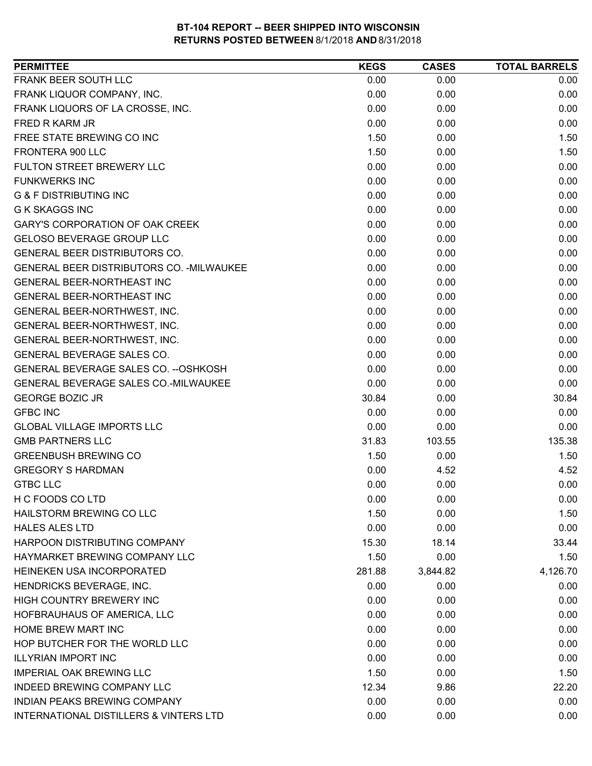| <b>PERMITTEE</b>                          | <b>KEGS</b> | <b>CASES</b> | <b>TOTAL BARRELS</b> |
|-------------------------------------------|-------------|--------------|----------------------|
| FRANK BEER SOUTH LLC                      | 0.00        | 0.00         | 0.00                 |
| FRANK LIQUOR COMPANY, INC.                | 0.00        | 0.00         | 0.00                 |
| FRANK LIQUORS OF LA CROSSE, INC.          | 0.00        | 0.00         | 0.00                 |
| FRED R KARM JR                            | 0.00        | 0.00         | 0.00                 |
| FREE STATE BREWING CO INC                 | 1.50        | 0.00         | 1.50                 |
| FRONTERA 900 LLC                          | 1.50        | 0.00         | 1.50                 |
| FULTON STREET BREWERY LLC                 | 0.00        | 0.00         | 0.00                 |
| <b>FUNKWERKS INC</b>                      | 0.00        | 0.00         | 0.00                 |
| <b>G &amp; F DISTRIBUTING INC</b>         | 0.00        | 0.00         | 0.00                 |
| <b>G K SKAGGS INC</b>                     | 0.00        | 0.00         | 0.00                 |
| <b>GARY'S CORPORATION OF OAK CREEK</b>    | 0.00        | 0.00         | 0.00                 |
| <b>GELOSO BEVERAGE GROUP LLC</b>          | 0.00        | 0.00         | 0.00                 |
| GENERAL BEER DISTRIBUTORS CO.             | 0.00        | 0.00         | 0.00                 |
| GENERAL BEER DISTRIBUTORS CO. - MILWAUKEE | 0.00        | 0.00         | 0.00                 |
| <b>GENERAL BEER-NORTHEAST INC</b>         | 0.00        | 0.00         | 0.00                 |
| GENERAL BEER-NORTHEAST INC                | 0.00        | 0.00         | 0.00                 |
| GENERAL BEER-NORTHWEST, INC.              | 0.00        | 0.00         | 0.00                 |
| GENERAL BEER-NORTHWEST, INC.              | 0.00        | 0.00         | 0.00                 |
| GENERAL BEER-NORTHWEST, INC.              | 0.00        | 0.00         | 0.00                 |
| GENERAL BEVERAGE SALES CO.                | 0.00        | 0.00         | 0.00                 |
| GENERAL BEVERAGE SALES CO. -- OSHKOSH     | 0.00        | 0.00         | 0.00                 |
| GENERAL BEVERAGE SALES CO.-MILWAUKEE      | 0.00        | 0.00         | 0.00                 |
| <b>GEORGE BOZIC JR</b>                    | 30.84       | 0.00         | 30.84                |
| <b>GFBC INC</b>                           | 0.00        | 0.00         | 0.00                 |
| <b>GLOBAL VILLAGE IMPORTS LLC</b>         | 0.00        | 0.00         | 0.00                 |
| <b>GMB PARTNERS LLC</b>                   | 31.83       | 103.55       | 135.38               |
| <b>GREENBUSH BREWING CO</b>               | 1.50        | 0.00         | 1.50                 |
| <b>GREGORY S HARDMAN</b>                  | 0.00        | 4.52         | 4.52                 |
| <b>GTBC LLC</b>                           | 0.00        | 0.00         | 0.00                 |
| H C FOODS CO LTD                          | 0.00        | 0.00         | 0.00                 |
| HAILSTORM BREWING CO LLC                  | 1.50        | 0.00         | 1.50                 |
| <b>HALES ALES LTD</b>                     | 0.00        | 0.00         | 0.00                 |
| HARPOON DISTRIBUTING COMPANY              | 15.30       | 18.14        | 33.44                |
| HAYMARKET BREWING COMPANY LLC             | 1.50        | 0.00         | 1.50                 |
| <b>HEINEKEN USA INCORPORATED</b>          | 281.88      | 3,844.82     | 4,126.70             |
| HENDRICKS BEVERAGE, INC.                  | 0.00        | 0.00         | 0.00                 |
| HIGH COUNTRY BREWERY INC                  | 0.00        | 0.00         | 0.00                 |
| HOFBRAUHAUS OF AMERICA, LLC               | 0.00        | 0.00         | 0.00                 |
| HOME BREW MART INC                        | 0.00        | 0.00         | 0.00                 |
| HOP BUTCHER FOR THE WORLD LLC             | 0.00        | 0.00         | 0.00                 |
| <b>ILLYRIAN IMPORT INC</b>                | 0.00        | 0.00         | 0.00                 |
| <b>IMPERIAL OAK BREWING LLC</b>           | 1.50        | 0.00         | 1.50                 |
| <b>INDEED BREWING COMPANY LLC</b>         | 12.34       | 9.86         | 22.20                |
| INDIAN PEAKS BREWING COMPANY              | 0.00        | 0.00         | 0.00                 |
| INTERNATIONAL DISTILLERS & VINTERS LTD    | 0.00        | 0.00         | 0.00                 |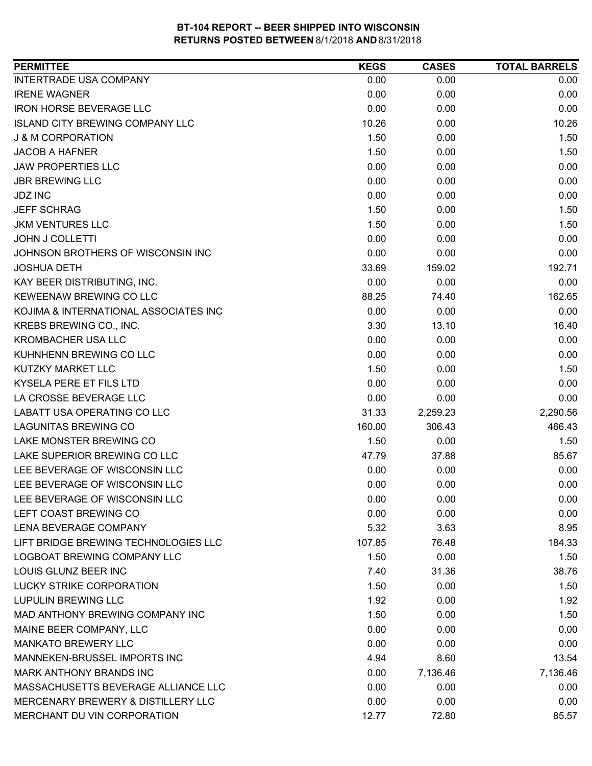| <b>PERMITTEE</b>                       | <b>KEGS</b> | <b>CASES</b> | <b>TOTAL BARRELS</b> |
|----------------------------------------|-------------|--------------|----------------------|
| <b>INTERTRADE USA COMPANY</b>          | 0.00        | 0.00         | 0.00                 |
| <b>IRENE WAGNER</b>                    | 0.00        | 0.00         | 0.00                 |
| <b>IRON HORSE BEVERAGE LLC</b>         | 0.00        | 0.00         | 0.00                 |
| <b>ISLAND CITY BREWING COMPANY LLC</b> | 10.26       | 0.00         | 10.26                |
| <b>J &amp; M CORPORATION</b>           | 1.50        | 0.00         | 1.50                 |
| <b>JACOB A HAFNER</b>                  | 1.50        | 0.00         | 1.50                 |
| <b>JAW PROPERTIES LLC</b>              | 0.00        | 0.00         | 0.00                 |
| <b>JBR BREWING LLC</b>                 | 0.00        | 0.00         | 0.00                 |
| <b>JDZ INC</b>                         | 0.00        | 0.00         | 0.00                 |
| <b>JEFF SCHRAG</b>                     | 1.50        | 0.00         | 1.50                 |
| <b>JKM VENTURES LLC</b>                | 1.50        | 0.00         | 1.50                 |
| <b>JOHN J COLLETTI</b>                 | 0.00        | 0.00         | 0.00                 |
| JOHNSON BROTHERS OF WISCONSIN INC      | 0.00        | 0.00         | 0.00                 |
| <b>JOSHUA DETH</b>                     | 33.69       | 159.02       | 192.71               |
| KAY BEER DISTRIBUTING, INC.            | 0.00        | 0.00         | 0.00                 |
| KEWEENAW BREWING CO LLC                | 88.25       | 74.40        | 162.65               |
| KOJIMA & INTERNATIONAL ASSOCIATES INC  | 0.00        | 0.00         | 0.00                 |
| KREBS BREWING CO., INC.                | 3.30        | 13.10        | 16.40                |
| <b>KROMBACHER USA LLC</b>              | 0.00        | 0.00         | 0.00                 |
| KUHNHENN BREWING CO LLC                | 0.00        | 0.00         | 0.00                 |
| KUTZKY MARKET LLC                      | 1.50        | 0.00         | 1.50                 |
| KYSELA PERE ET FILS LTD                | 0.00        | 0.00         | 0.00                 |
| LA CROSSE BEVERAGE LLC                 | 0.00        | 0.00         | 0.00                 |
| <b>LABATT USA OPERATING CO LLC</b>     | 31.33       | 2,259.23     | 2,290.56             |
| <b>LAGUNITAS BREWING CO</b>            | 160.00      | 306.43       | 466.43               |
| LAKE MONSTER BREWING CO                | 1.50        | 0.00         | 1.50                 |
| LAKE SUPERIOR BREWING CO LLC           | 47.79       | 37.88        | 85.67                |
| LEE BEVERAGE OF WISCONSIN LLC          | 0.00        | 0.00         | 0.00                 |
| LEE BEVERAGE OF WISCONSIN LLC          | 0.00        | 0.00         | 0.00                 |
| LEE BEVERAGE OF WISCONSIN LLC          | 0.00        | 0.00         | 0.00                 |
| LEFT COAST BREWING CO                  | 0.00        | 0.00         | 0.00                 |
| LENA BEVERAGE COMPANY                  | 5.32        | 3.63         | 8.95                 |
| LIFT BRIDGE BREWING TECHNOLOGIES LLC   | 107.85      | 76.48        | 184.33               |
| LOGBOAT BREWING COMPANY LLC            | 1.50        | 0.00         | 1.50                 |
| LOUIS GLUNZ BEER INC                   | 7.40        | 31.36        | 38.76                |
| <b>LUCKY STRIKE CORPORATION</b>        | 1.50        | 0.00         | 1.50                 |
| <b>LUPULIN BREWING LLC</b>             | 1.92        | 0.00         | 1.92                 |
| MAD ANTHONY BREWING COMPANY INC        | 1.50        | 0.00         | 1.50                 |
| MAINE BEER COMPANY, LLC                | 0.00        | 0.00         | 0.00                 |
| <b>MANKATO BREWERY LLC</b>             | 0.00        | 0.00         | 0.00                 |
| MANNEKEN-BRUSSEL IMPORTS INC           | 4.94        | 8.60         | 13.54                |
| MARK ANTHONY BRANDS INC                | 0.00        | 7,136.46     | 7,136.46             |
| MASSACHUSETTS BEVERAGE ALLIANCE LLC    | 0.00        | 0.00         | 0.00                 |
| MERCENARY BREWERY & DISTILLERY LLC     | 0.00        | 0.00         | 0.00                 |
| MERCHANT DU VIN CORPORATION            | 12.77       | 72.80        | 85.57                |
|                                        |             |              |                      |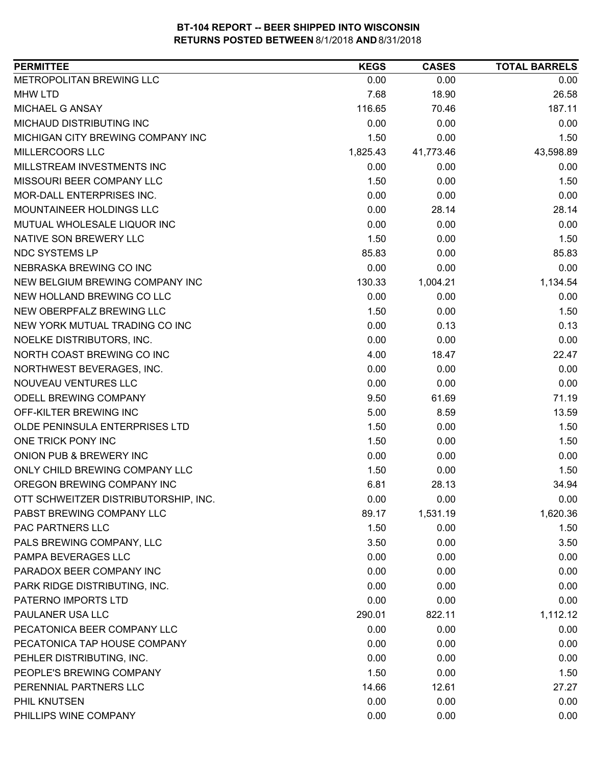| <b>PERMITTEE</b>                     | <b>KEGS</b> | <b>CASES</b> | <b>TOTAL BARRELS</b> |
|--------------------------------------|-------------|--------------|----------------------|
| METROPOLITAN BREWING LLC             | 0.00        | 0.00         | 0.00                 |
| <b>MHW LTD</b>                       | 7.68        | 18.90        | 26.58                |
| MICHAEL G ANSAY                      | 116.65      | 70.46        | 187.11               |
| MICHAUD DISTRIBUTING INC             | 0.00        | 0.00         | 0.00                 |
| MICHIGAN CITY BREWING COMPANY INC    | 1.50        | 0.00         | 1.50                 |
| MILLERCOORS LLC                      | 1,825.43    | 41,773.46    | 43,598.89            |
| MILLSTREAM INVESTMENTS INC           | 0.00        | 0.00         | 0.00                 |
| MISSOURI BEER COMPANY LLC            | 1.50        | 0.00         | 1.50                 |
| MOR-DALL ENTERPRISES INC.            | 0.00        | 0.00         | 0.00                 |
| MOUNTAINEER HOLDINGS LLC             | 0.00        | 28.14        | 28.14                |
| MUTUAL WHOLESALE LIQUOR INC          | 0.00        | 0.00         | 0.00                 |
| NATIVE SON BREWERY LLC               | 1.50        | 0.00         | 1.50                 |
| NDC SYSTEMS LP                       | 85.83       | 0.00         | 85.83                |
| NEBRASKA BREWING CO INC              | 0.00        | 0.00         | 0.00                 |
| NEW BELGIUM BREWING COMPANY INC      | 130.33      | 1,004.21     | 1,134.54             |
| NEW HOLLAND BREWING CO LLC           | 0.00        | 0.00         | 0.00                 |
| NEW OBERPFALZ BREWING LLC            | 1.50        | 0.00         | 1.50                 |
| NEW YORK MUTUAL TRADING CO INC       | 0.00        | 0.13         | 0.13                 |
| NOELKE DISTRIBUTORS, INC.            | 0.00        | 0.00         | 0.00                 |
| NORTH COAST BREWING CO INC           | 4.00        | 18.47        | 22.47                |
| NORTHWEST BEVERAGES, INC.            | 0.00        | 0.00         | 0.00                 |
| NOUVEAU VENTURES LLC                 | 0.00        | 0.00         | 0.00                 |
| ODELL BREWING COMPANY                | 9.50        | 61.69        | 71.19                |
| OFF-KILTER BREWING INC               | 5.00        | 8.59         | 13.59                |
| OLDE PENINSULA ENTERPRISES LTD       | 1.50        | 0.00         | 1.50                 |
| ONE TRICK PONY INC                   | 1.50        | 0.00         | 1.50                 |
| ONION PUB & BREWERY INC              | 0.00        | 0.00         | 0.00                 |
| ONLY CHILD BREWING COMPANY LLC       | 1.50        | 0.00         | 1.50                 |
| OREGON BREWING COMPANY INC           | 6.81        | 28.13        | 34.94                |
| OTT SCHWEITZER DISTRIBUTORSHIP, INC. | 0.00        | 0.00         | 0.00                 |
| PABST BREWING COMPANY LLC            | 89.17       | 1,531.19     | 1,620.36             |
| PAC PARTNERS LLC                     | 1.50        | 0.00         | 1.50                 |
| PALS BREWING COMPANY, LLC            | 3.50        | 0.00         | 3.50                 |
| PAMPA BEVERAGES LLC                  | 0.00        | 0.00         | 0.00                 |
| PARADOX BEER COMPANY INC             | 0.00        | 0.00         | 0.00                 |
| PARK RIDGE DISTRIBUTING, INC.        | 0.00        | 0.00         | 0.00                 |
| PATERNO IMPORTS LTD                  | 0.00        | 0.00         | 0.00                 |
| PAULANER USA LLC                     | 290.01      | 822.11       | 1,112.12             |
| PECATONICA BEER COMPANY LLC          | 0.00        | 0.00         | 0.00                 |
| PECATONICA TAP HOUSE COMPANY         | 0.00        | 0.00         | 0.00                 |
| PEHLER DISTRIBUTING, INC.            | 0.00        | 0.00         | 0.00                 |
| PEOPLE'S BREWING COMPANY             | 1.50        | 0.00         | 1.50                 |
| PERENNIAL PARTNERS LLC               | 14.66       | 12.61        | 27.27                |
| PHIL KNUTSEN                         | 0.00        | 0.00         | 0.00                 |
| PHILLIPS WINE COMPANY                | 0.00        | 0.00         | 0.00                 |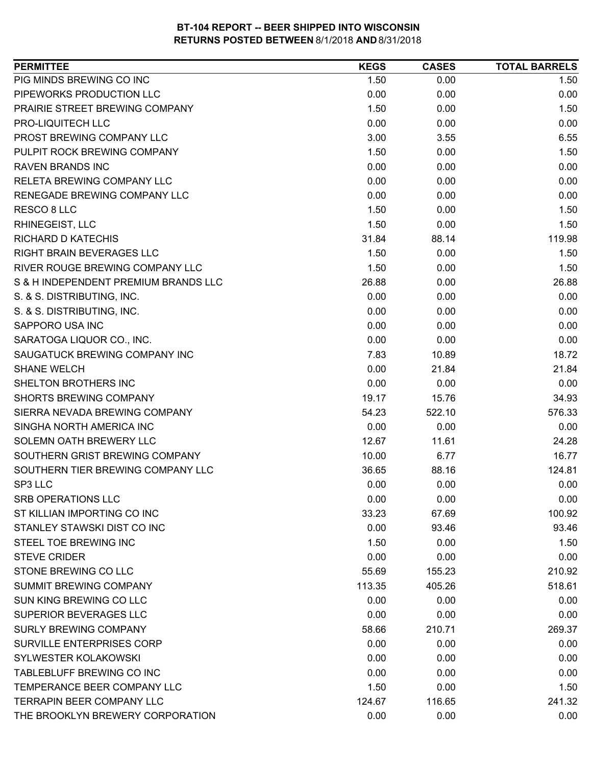| PIG MINDS BREWING CO INC<br>1.50<br>0.00<br>1.50<br>PIPEWORKS PRODUCTION LLC<br>0.00<br>0.00<br>0.00<br>PRAIRIE STREET BREWING COMPANY<br>1.50<br>0.00<br>1.50<br>PRO-LIQUITECH LLC<br>0.00<br>0.00<br>0.00<br>PROST BREWING COMPANY LLC<br>3.00<br>6.55<br>3.55<br>PULPIT ROCK BREWING COMPANY<br>1.50<br>1.50<br>0.00<br><b>RAVEN BRANDS INC</b><br>0.00<br>0.00<br>0.00<br><b>RELETA BREWING COMPANY LLC</b><br>0.00<br>0.00<br>0.00<br>0.00<br>RENEGADE BREWING COMPANY LLC<br>0.00<br>0.00<br>1.50<br>RESCO 8 LLC<br>0.00<br>1.50<br>RHINEGEIST, LLC<br>1.50<br>0.00<br>1.50<br>88.14<br>119.98<br>RICHARD D KATECHIS<br>31.84<br>RIGHT BRAIN BEVERAGES LLC<br>1.50<br>0.00<br>1.50<br>RIVER ROUGE BREWING COMPANY LLC<br>1.50<br>1.50<br>0.00<br>S & H INDEPENDENT PREMIUM BRANDS LLC<br>26.88<br>0.00<br>26.88<br>S. & S. DISTRIBUTING, INC.<br>0.00<br>0.00<br>0.00<br>S. & S. DISTRIBUTING, INC.<br>0.00<br>0.00<br>0.00<br>SAPPORO USA INC<br>0.00<br>0.00<br>0.00<br>0.00<br>0.00<br>SARATOGA LIQUOR CO., INC.<br>0.00<br>18.72<br>SAUGATUCK BREWING COMPANY INC<br>7.83<br>10.89<br>0.00<br>21.84<br><b>SHANE WELCH</b><br>21.84<br>SHELTON BROTHERS INC<br>0.00<br>0.00<br>0.00<br>SHORTS BREWING COMPANY<br>19.17<br>15.76<br>34.93<br>522.10<br>576.33<br>SIERRA NEVADA BREWING COMPANY<br>54.23<br>0.00<br>0.00<br>SINGHA NORTH AMERICA INC<br>0.00<br>SOLEMN OATH BREWERY LLC<br>24.28<br>12.67<br>11.61<br>SOUTHERN GRIST BREWING COMPANY<br>16.77<br>10.00<br>6.77<br>SOUTHERN TIER BREWING COMPANY LLC<br>124.81<br>36.65<br>88.16<br>0.00<br>0.00<br>SP3 LLC<br>0.00<br>SRB OPERATIONS LLC<br>0.00<br>0.00<br>0.00<br>ST KILLIAN IMPORTING CO INC<br>33.23<br>67.69<br>100.92<br>STANLEY STAWSKI DIST CO INC<br>0.00<br>93.46<br>93.46<br>STEEL TOE BREWING INC<br>1.50<br>0.00<br>1.50<br><b>STEVE CRIDER</b><br>0.00<br>0.00<br>0.00<br>STONE BREWING CO LLC<br>210.92<br>55.69<br>155.23<br>SUMMIT BREWING COMPANY<br>518.61<br>113.35<br>405.26<br>SUN KING BREWING CO LLC<br>0.00<br>0.00<br>0.00<br>SUPERIOR BEVERAGES LLC<br>0.00<br>0.00<br>0.00<br><b>SURLY BREWING COMPANY</b><br>269.37<br>58.66<br>210.71<br>SURVILLE ENTERPRISES CORP<br>0.00<br>0.00<br>0.00<br>SYLWESTER KOLAKOWSKI<br>0.00<br>0.00<br>0.00<br>TABLEBLUFF BREWING CO INC<br>0.00<br>0.00<br>0.00<br>TEMPERANCE BEER COMPANY LLC<br>1.50<br>0.00<br>1.50<br>TERRAPIN BEER COMPANY LLC<br>124.67<br>116.65<br>241.32<br>THE BROOKLYN BREWERY CORPORATION<br>0.00<br>0.00<br>0.00 | <b>PERMITTEE</b> | <b>KEGS</b> | <b>CASES</b> | <b>TOTAL BARRELS</b> |
|------------------------------------------------------------------------------------------------------------------------------------------------------------------------------------------------------------------------------------------------------------------------------------------------------------------------------------------------------------------------------------------------------------------------------------------------------------------------------------------------------------------------------------------------------------------------------------------------------------------------------------------------------------------------------------------------------------------------------------------------------------------------------------------------------------------------------------------------------------------------------------------------------------------------------------------------------------------------------------------------------------------------------------------------------------------------------------------------------------------------------------------------------------------------------------------------------------------------------------------------------------------------------------------------------------------------------------------------------------------------------------------------------------------------------------------------------------------------------------------------------------------------------------------------------------------------------------------------------------------------------------------------------------------------------------------------------------------------------------------------------------------------------------------------------------------------------------------------------------------------------------------------------------------------------------------------------------------------------------------------------------------------------------------------------------------------------------------------------------------------------------------------------------------------------------------------------------------------------------------------------------------------------------------------------------------------------------------------------------------------------------------------------------------------------------------------------------------------------------|------------------|-------------|--------------|----------------------|
|                                                                                                                                                                                                                                                                                                                                                                                                                                                                                                                                                                                                                                                                                                                                                                                                                                                                                                                                                                                                                                                                                                                                                                                                                                                                                                                                                                                                                                                                                                                                                                                                                                                                                                                                                                                                                                                                                                                                                                                                                                                                                                                                                                                                                                                                                                                                                                                                                                                                                    |                  |             |              |                      |
|                                                                                                                                                                                                                                                                                                                                                                                                                                                                                                                                                                                                                                                                                                                                                                                                                                                                                                                                                                                                                                                                                                                                                                                                                                                                                                                                                                                                                                                                                                                                                                                                                                                                                                                                                                                                                                                                                                                                                                                                                                                                                                                                                                                                                                                                                                                                                                                                                                                                                    |                  |             |              |                      |
|                                                                                                                                                                                                                                                                                                                                                                                                                                                                                                                                                                                                                                                                                                                                                                                                                                                                                                                                                                                                                                                                                                                                                                                                                                                                                                                                                                                                                                                                                                                                                                                                                                                                                                                                                                                                                                                                                                                                                                                                                                                                                                                                                                                                                                                                                                                                                                                                                                                                                    |                  |             |              |                      |
|                                                                                                                                                                                                                                                                                                                                                                                                                                                                                                                                                                                                                                                                                                                                                                                                                                                                                                                                                                                                                                                                                                                                                                                                                                                                                                                                                                                                                                                                                                                                                                                                                                                                                                                                                                                                                                                                                                                                                                                                                                                                                                                                                                                                                                                                                                                                                                                                                                                                                    |                  |             |              |                      |
|                                                                                                                                                                                                                                                                                                                                                                                                                                                                                                                                                                                                                                                                                                                                                                                                                                                                                                                                                                                                                                                                                                                                                                                                                                                                                                                                                                                                                                                                                                                                                                                                                                                                                                                                                                                                                                                                                                                                                                                                                                                                                                                                                                                                                                                                                                                                                                                                                                                                                    |                  |             |              |                      |
|                                                                                                                                                                                                                                                                                                                                                                                                                                                                                                                                                                                                                                                                                                                                                                                                                                                                                                                                                                                                                                                                                                                                                                                                                                                                                                                                                                                                                                                                                                                                                                                                                                                                                                                                                                                                                                                                                                                                                                                                                                                                                                                                                                                                                                                                                                                                                                                                                                                                                    |                  |             |              |                      |
|                                                                                                                                                                                                                                                                                                                                                                                                                                                                                                                                                                                                                                                                                                                                                                                                                                                                                                                                                                                                                                                                                                                                                                                                                                                                                                                                                                                                                                                                                                                                                                                                                                                                                                                                                                                                                                                                                                                                                                                                                                                                                                                                                                                                                                                                                                                                                                                                                                                                                    |                  |             |              |                      |
|                                                                                                                                                                                                                                                                                                                                                                                                                                                                                                                                                                                                                                                                                                                                                                                                                                                                                                                                                                                                                                                                                                                                                                                                                                                                                                                                                                                                                                                                                                                                                                                                                                                                                                                                                                                                                                                                                                                                                                                                                                                                                                                                                                                                                                                                                                                                                                                                                                                                                    |                  |             |              |                      |
|                                                                                                                                                                                                                                                                                                                                                                                                                                                                                                                                                                                                                                                                                                                                                                                                                                                                                                                                                                                                                                                                                                                                                                                                                                                                                                                                                                                                                                                                                                                                                                                                                                                                                                                                                                                                                                                                                                                                                                                                                                                                                                                                                                                                                                                                                                                                                                                                                                                                                    |                  |             |              |                      |
|                                                                                                                                                                                                                                                                                                                                                                                                                                                                                                                                                                                                                                                                                                                                                                                                                                                                                                                                                                                                                                                                                                                                                                                                                                                                                                                                                                                                                                                                                                                                                                                                                                                                                                                                                                                                                                                                                                                                                                                                                                                                                                                                                                                                                                                                                                                                                                                                                                                                                    |                  |             |              |                      |
|                                                                                                                                                                                                                                                                                                                                                                                                                                                                                                                                                                                                                                                                                                                                                                                                                                                                                                                                                                                                                                                                                                                                                                                                                                                                                                                                                                                                                                                                                                                                                                                                                                                                                                                                                                                                                                                                                                                                                                                                                                                                                                                                                                                                                                                                                                                                                                                                                                                                                    |                  |             |              |                      |
|                                                                                                                                                                                                                                                                                                                                                                                                                                                                                                                                                                                                                                                                                                                                                                                                                                                                                                                                                                                                                                                                                                                                                                                                                                                                                                                                                                                                                                                                                                                                                                                                                                                                                                                                                                                                                                                                                                                                                                                                                                                                                                                                                                                                                                                                                                                                                                                                                                                                                    |                  |             |              |                      |
|                                                                                                                                                                                                                                                                                                                                                                                                                                                                                                                                                                                                                                                                                                                                                                                                                                                                                                                                                                                                                                                                                                                                                                                                                                                                                                                                                                                                                                                                                                                                                                                                                                                                                                                                                                                                                                                                                                                                                                                                                                                                                                                                                                                                                                                                                                                                                                                                                                                                                    |                  |             |              |                      |
|                                                                                                                                                                                                                                                                                                                                                                                                                                                                                                                                                                                                                                                                                                                                                                                                                                                                                                                                                                                                                                                                                                                                                                                                                                                                                                                                                                                                                                                                                                                                                                                                                                                                                                                                                                                                                                                                                                                                                                                                                                                                                                                                                                                                                                                                                                                                                                                                                                                                                    |                  |             |              |                      |
|                                                                                                                                                                                                                                                                                                                                                                                                                                                                                                                                                                                                                                                                                                                                                                                                                                                                                                                                                                                                                                                                                                                                                                                                                                                                                                                                                                                                                                                                                                                                                                                                                                                                                                                                                                                                                                                                                                                                                                                                                                                                                                                                                                                                                                                                                                                                                                                                                                                                                    |                  |             |              |                      |
|                                                                                                                                                                                                                                                                                                                                                                                                                                                                                                                                                                                                                                                                                                                                                                                                                                                                                                                                                                                                                                                                                                                                                                                                                                                                                                                                                                                                                                                                                                                                                                                                                                                                                                                                                                                                                                                                                                                                                                                                                                                                                                                                                                                                                                                                                                                                                                                                                                                                                    |                  |             |              |                      |
|                                                                                                                                                                                                                                                                                                                                                                                                                                                                                                                                                                                                                                                                                                                                                                                                                                                                                                                                                                                                                                                                                                                                                                                                                                                                                                                                                                                                                                                                                                                                                                                                                                                                                                                                                                                                                                                                                                                                                                                                                                                                                                                                                                                                                                                                                                                                                                                                                                                                                    |                  |             |              |                      |
|                                                                                                                                                                                                                                                                                                                                                                                                                                                                                                                                                                                                                                                                                                                                                                                                                                                                                                                                                                                                                                                                                                                                                                                                                                                                                                                                                                                                                                                                                                                                                                                                                                                                                                                                                                                                                                                                                                                                                                                                                                                                                                                                                                                                                                                                                                                                                                                                                                                                                    |                  |             |              |                      |
|                                                                                                                                                                                                                                                                                                                                                                                                                                                                                                                                                                                                                                                                                                                                                                                                                                                                                                                                                                                                                                                                                                                                                                                                                                                                                                                                                                                                                                                                                                                                                                                                                                                                                                                                                                                                                                                                                                                                                                                                                                                                                                                                                                                                                                                                                                                                                                                                                                                                                    |                  |             |              |                      |
|                                                                                                                                                                                                                                                                                                                                                                                                                                                                                                                                                                                                                                                                                                                                                                                                                                                                                                                                                                                                                                                                                                                                                                                                                                                                                                                                                                                                                                                                                                                                                                                                                                                                                                                                                                                                                                                                                                                                                                                                                                                                                                                                                                                                                                                                                                                                                                                                                                                                                    |                  |             |              |                      |
|                                                                                                                                                                                                                                                                                                                                                                                                                                                                                                                                                                                                                                                                                                                                                                                                                                                                                                                                                                                                                                                                                                                                                                                                                                                                                                                                                                                                                                                                                                                                                                                                                                                                                                                                                                                                                                                                                                                                                                                                                                                                                                                                                                                                                                                                                                                                                                                                                                                                                    |                  |             |              |                      |
|                                                                                                                                                                                                                                                                                                                                                                                                                                                                                                                                                                                                                                                                                                                                                                                                                                                                                                                                                                                                                                                                                                                                                                                                                                                                                                                                                                                                                                                                                                                                                                                                                                                                                                                                                                                                                                                                                                                                                                                                                                                                                                                                                                                                                                                                                                                                                                                                                                                                                    |                  |             |              |                      |
|                                                                                                                                                                                                                                                                                                                                                                                                                                                                                                                                                                                                                                                                                                                                                                                                                                                                                                                                                                                                                                                                                                                                                                                                                                                                                                                                                                                                                                                                                                                                                                                                                                                                                                                                                                                                                                                                                                                                                                                                                                                                                                                                                                                                                                                                                                                                                                                                                                                                                    |                  |             |              |                      |
|                                                                                                                                                                                                                                                                                                                                                                                                                                                                                                                                                                                                                                                                                                                                                                                                                                                                                                                                                                                                                                                                                                                                                                                                                                                                                                                                                                                                                                                                                                                                                                                                                                                                                                                                                                                                                                                                                                                                                                                                                                                                                                                                                                                                                                                                                                                                                                                                                                                                                    |                  |             |              |                      |
|                                                                                                                                                                                                                                                                                                                                                                                                                                                                                                                                                                                                                                                                                                                                                                                                                                                                                                                                                                                                                                                                                                                                                                                                                                                                                                                                                                                                                                                                                                                                                                                                                                                                                                                                                                                                                                                                                                                                                                                                                                                                                                                                                                                                                                                                                                                                                                                                                                                                                    |                  |             |              |                      |
|                                                                                                                                                                                                                                                                                                                                                                                                                                                                                                                                                                                                                                                                                                                                                                                                                                                                                                                                                                                                                                                                                                                                                                                                                                                                                                                                                                                                                                                                                                                                                                                                                                                                                                                                                                                                                                                                                                                                                                                                                                                                                                                                                                                                                                                                                                                                                                                                                                                                                    |                  |             |              |                      |
|                                                                                                                                                                                                                                                                                                                                                                                                                                                                                                                                                                                                                                                                                                                                                                                                                                                                                                                                                                                                                                                                                                                                                                                                                                                                                                                                                                                                                                                                                                                                                                                                                                                                                                                                                                                                                                                                                                                                                                                                                                                                                                                                                                                                                                                                                                                                                                                                                                                                                    |                  |             |              |                      |
|                                                                                                                                                                                                                                                                                                                                                                                                                                                                                                                                                                                                                                                                                                                                                                                                                                                                                                                                                                                                                                                                                                                                                                                                                                                                                                                                                                                                                                                                                                                                                                                                                                                                                                                                                                                                                                                                                                                                                                                                                                                                                                                                                                                                                                                                                                                                                                                                                                                                                    |                  |             |              |                      |
|                                                                                                                                                                                                                                                                                                                                                                                                                                                                                                                                                                                                                                                                                                                                                                                                                                                                                                                                                                                                                                                                                                                                                                                                                                                                                                                                                                                                                                                                                                                                                                                                                                                                                                                                                                                                                                                                                                                                                                                                                                                                                                                                                                                                                                                                                                                                                                                                                                                                                    |                  |             |              |                      |
|                                                                                                                                                                                                                                                                                                                                                                                                                                                                                                                                                                                                                                                                                                                                                                                                                                                                                                                                                                                                                                                                                                                                                                                                                                                                                                                                                                                                                                                                                                                                                                                                                                                                                                                                                                                                                                                                                                                                                                                                                                                                                                                                                                                                                                                                                                                                                                                                                                                                                    |                  |             |              |                      |
|                                                                                                                                                                                                                                                                                                                                                                                                                                                                                                                                                                                                                                                                                                                                                                                                                                                                                                                                                                                                                                                                                                                                                                                                                                                                                                                                                                                                                                                                                                                                                                                                                                                                                                                                                                                                                                                                                                                                                                                                                                                                                                                                                                                                                                                                                                                                                                                                                                                                                    |                  |             |              |                      |
|                                                                                                                                                                                                                                                                                                                                                                                                                                                                                                                                                                                                                                                                                                                                                                                                                                                                                                                                                                                                                                                                                                                                                                                                                                                                                                                                                                                                                                                                                                                                                                                                                                                                                                                                                                                                                                                                                                                                                                                                                                                                                                                                                                                                                                                                                                                                                                                                                                                                                    |                  |             |              |                      |
|                                                                                                                                                                                                                                                                                                                                                                                                                                                                                                                                                                                                                                                                                                                                                                                                                                                                                                                                                                                                                                                                                                                                                                                                                                                                                                                                                                                                                                                                                                                                                                                                                                                                                                                                                                                                                                                                                                                                                                                                                                                                                                                                                                                                                                                                                                                                                                                                                                                                                    |                  |             |              |                      |
|                                                                                                                                                                                                                                                                                                                                                                                                                                                                                                                                                                                                                                                                                                                                                                                                                                                                                                                                                                                                                                                                                                                                                                                                                                                                                                                                                                                                                                                                                                                                                                                                                                                                                                                                                                                                                                                                                                                                                                                                                                                                                                                                                                                                                                                                                                                                                                                                                                                                                    |                  |             |              |                      |
|                                                                                                                                                                                                                                                                                                                                                                                                                                                                                                                                                                                                                                                                                                                                                                                                                                                                                                                                                                                                                                                                                                                                                                                                                                                                                                                                                                                                                                                                                                                                                                                                                                                                                                                                                                                                                                                                                                                                                                                                                                                                                                                                                                                                                                                                                                                                                                                                                                                                                    |                  |             |              |                      |
|                                                                                                                                                                                                                                                                                                                                                                                                                                                                                                                                                                                                                                                                                                                                                                                                                                                                                                                                                                                                                                                                                                                                                                                                                                                                                                                                                                                                                                                                                                                                                                                                                                                                                                                                                                                                                                                                                                                                                                                                                                                                                                                                                                                                                                                                                                                                                                                                                                                                                    |                  |             |              |                      |
|                                                                                                                                                                                                                                                                                                                                                                                                                                                                                                                                                                                                                                                                                                                                                                                                                                                                                                                                                                                                                                                                                                                                                                                                                                                                                                                                                                                                                                                                                                                                                                                                                                                                                                                                                                                                                                                                                                                                                                                                                                                                                                                                                                                                                                                                                                                                                                                                                                                                                    |                  |             |              |                      |
|                                                                                                                                                                                                                                                                                                                                                                                                                                                                                                                                                                                                                                                                                                                                                                                                                                                                                                                                                                                                                                                                                                                                                                                                                                                                                                                                                                                                                                                                                                                                                                                                                                                                                                                                                                                                                                                                                                                                                                                                                                                                                                                                                                                                                                                                                                                                                                                                                                                                                    |                  |             |              |                      |
|                                                                                                                                                                                                                                                                                                                                                                                                                                                                                                                                                                                                                                                                                                                                                                                                                                                                                                                                                                                                                                                                                                                                                                                                                                                                                                                                                                                                                                                                                                                                                                                                                                                                                                                                                                                                                                                                                                                                                                                                                                                                                                                                                                                                                                                                                                                                                                                                                                                                                    |                  |             |              |                      |
|                                                                                                                                                                                                                                                                                                                                                                                                                                                                                                                                                                                                                                                                                                                                                                                                                                                                                                                                                                                                                                                                                                                                                                                                                                                                                                                                                                                                                                                                                                                                                                                                                                                                                                                                                                                                                                                                                                                                                                                                                                                                                                                                                                                                                                                                                                                                                                                                                                                                                    |                  |             |              |                      |
|                                                                                                                                                                                                                                                                                                                                                                                                                                                                                                                                                                                                                                                                                                                                                                                                                                                                                                                                                                                                                                                                                                                                                                                                                                                                                                                                                                                                                                                                                                                                                                                                                                                                                                                                                                                                                                                                                                                                                                                                                                                                                                                                                                                                                                                                                                                                                                                                                                                                                    |                  |             |              |                      |
|                                                                                                                                                                                                                                                                                                                                                                                                                                                                                                                                                                                                                                                                                                                                                                                                                                                                                                                                                                                                                                                                                                                                                                                                                                                                                                                                                                                                                                                                                                                                                                                                                                                                                                                                                                                                                                                                                                                                                                                                                                                                                                                                                                                                                                                                                                                                                                                                                                                                                    |                  |             |              |                      |
|                                                                                                                                                                                                                                                                                                                                                                                                                                                                                                                                                                                                                                                                                                                                                                                                                                                                                                                                                                                                                                                                                                                                                                                                                                                                                                                                                                                                                                                                                                                                                                                                                                                                                                                                                                                                                                                                                                                                                                                                                                                                                                                                                                                                                                                                                                                                                                                                                                                                                    |                  |             |              |                      |
|                                                                                                                                                                                                                                                                                                                                                                                                                                                                                                                                                                                                                                                                                                                                                                                                                                                                                                                                                                                                                                                                                                                                                                                                                                                                                                                                                                                                                                                                                                                                                                                                                                                                                                                                                                                                                                                                                                                                                                                                                                                                                                                                                                                                                                                                                                                                                                                                                                                                                    |                  |             |              |                      |
|                                                                                                                                                                                                                                                                                                                                                                                                                                                                                                                                                                                                                                                                                                                                                                                                                                                                                                                                                                                                                                                                                                                                                                                                                                                                                                                                                                                                                                                                                                                                                                                                                                                                                                                                                                                                                                                                                                                                                                                                                                                                                                                                                                                                                                                                                                                                                                                                                                                                                    |                  |             |              |                      |